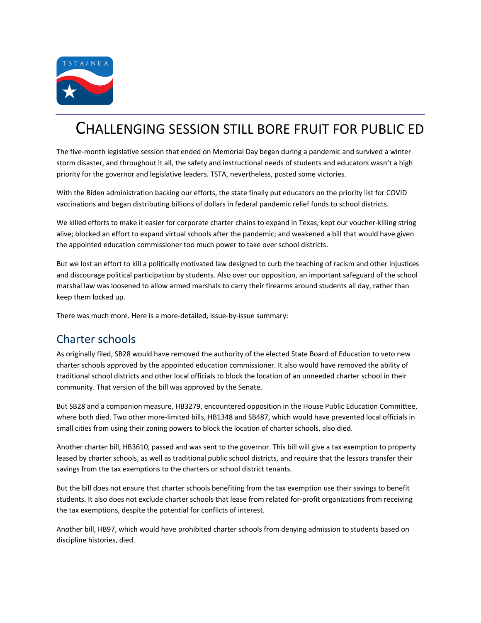

# CHALLENGING SESSION STILL BORE FRUIT FOR PUBLIC ED

The five-month legislative session that ended on Memorial Day began during a pandemic and survived a winter storm disaster, and throughout it all, the safety and instructional needs of students and educators wasn't a high priority for the governor and legislative leaders. TSTA, nevertheless, posted some victories.

With the Biden administration backing our efforts, the state finally put educators on the priority list for COVID vaccinations and began distributing billions of dollars in federal pandemic relief funds to school districts.

We killed efforts to make it easier for corporate charter chains to expand in Texas; kept our voucher-killing string alive; blocked an effort to expand virtual schools after the pandemic; and weakened a bill that would have given the appointed education commissioner too much power to take over school districts.

But we lost an effort to kill a politically motivated law designed to curb the teaching of racism and other injustices and discourage political participation by students. Also over our opposition, an important safeguard of the school marshal law was loosened to allow armed marshals to carry their firearms around students all day, rather than keep them locked up.

There was much more. Here is a more-detailed, issue-by-issue summary:

#### Charter schools

As originally filed, SB28 would have removed the authority of the elected State Board of Education to veto new charter schools approved by the appointed education commissioner. It also would have removed the ability of traditional school districts and other local officials to block the location of an unneeded charter school in their community. That version of the bill was approved by the Senate.

But SB28 and a companion measure, HB3279, encountered opposition in the House Public Education Committee, where both died. Two other more-limited bills, HB1348 and SB487, which would have prevented local officials in small cities from using their zoning powers to block the location of charter schools, also died.

Another charter bill, HB3610, passed and was sent to the governor. This bill will give a tax exemption to property leased by charter schools, as well as traditional public school districts, and require that the lessors transfer their savings from the tax exemptions to the charters or school district tenants.

But the bill does not ensure that charter schools benefiting from the tax exemption use their savings to benefit students. It also does not exclude charter schools that lease from related for-profit organizations from receiving the tax exemptions, despite the potential for conflicts of interest.

Another bill, HB97, which would have prohibited charter schools from denying admission to students based on discipline histories, died.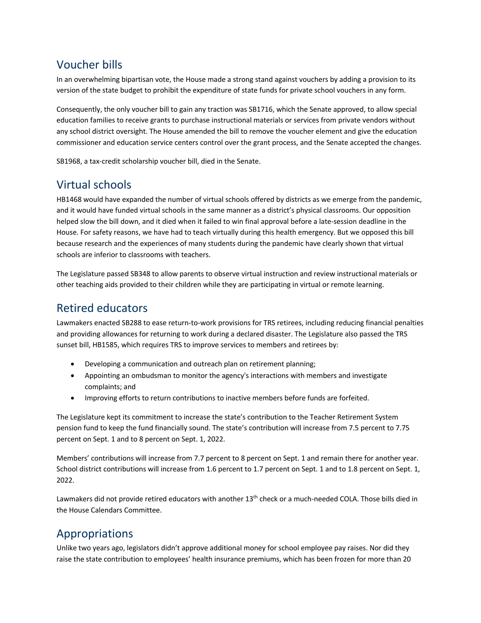## Voucher bills

In an overwhelming bipartisan vote, the House made a strong stand against vouchers by adding a provision to its version of the state budget to prohibit the expenditure of state funds for private school vouchers in any form.

Consequently, the only voucher bill to gain any traction was SB1716, which the Senate approved, to allow special education families to receive grants to purchase instructional materials or services from private vendors without any school district oversight. The House amended the bill to remove the voucher element and give the education commissioner and education service centers control over the grant process, and the Senate accepted the changes.

SB1968, a tax-credit scholarship voucher bill, died in the Senate.

# Virtual schools

HB1468 would have expanded the number of virtual schools offered by districts as we emerge from the pandemic, and it would have funded virtual schools in the same manner as a district's physical classrooms. Our opposition helped slow the bill down, and it died when it failed to win final approval before a late-session deadline in the House. For safety reasons, we have had to teach virtually during this health emergency. But we opposed this bill because research and the experiences of many students during the pandemic have clearly shown that virtual schools are inferior to classrooms with teachers.

The Legislature passed SB348 to allow parents to observe virtual instruction and review instructional materials or other teaching aids provided to their children while they are participating in virtual or remote learning.

## Retired educators

Lawmakers enacted SB288 to ease return-to-work provisions for TRS retirees, including reducing financial penalties and providing allowances for returning to work during a declared disaster. The Legislature also passed the TRS sunset bill, HB1585, which requires TRS to improve services to members and retirees by:

- Developing a communication and outreach plan on retirement planning;
- Appointing an ombudsman to monitor the agency's interactions with members and investigate complaints; and
- Improving efforts to return contributions to inactive members before funds are forfeited.

The Legislature kept its commitment to increase the state's contribution to the Teacher Retirement System pension fund to keep the fund financially sound. The state's contribution will increase from 7.5 percent to 7.75 percent on Sept. 1 and to 8 percent on Sept. 1, 2022.

Members' contributions will increase from 7.7 percent to 8 percent on Sept. 1 and remain there for another year. School district contributions will increase from 1.6 percent to 1.7 percent on Sept. 1 and to 1.8 percent on Sept. 1, 2022.

Lawmakers did not provide retired educators with another 13<sup>th</sup> check or a much-needed COLA. Those bills died in the House Calendars Committee.

# Appropriations

Unlike two years ago, legislators didn't approve additional money for school employee pay raises. Nor did they raise the state contribution to employees' health insurance premiums, which has been frozen for more than 20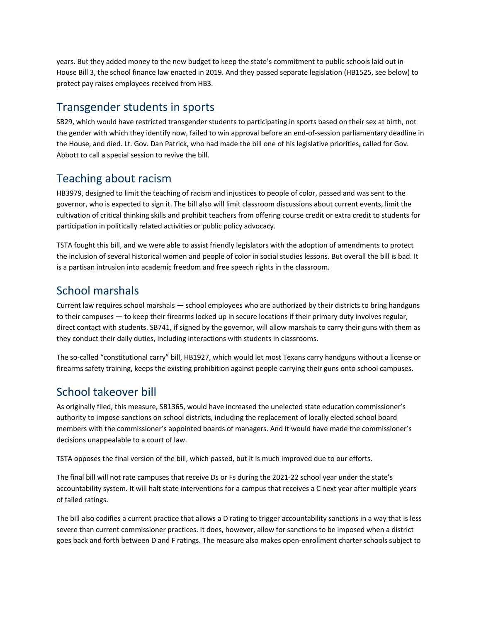years. But they added money to the new budget to keep the state's commitment to public schools laid out in House Bill 3, the school finance law enacted in 2019. And they passed separate legislation (HB1525, see below) to protect pay raises employees received from HB3.

#### Transgender students in sports

SB29, which would have restricted transgender students to participating in sports based on their sex at birth, not the gender with which they identify now, failed to win approval before an end-of-session parliamentary deadline in the House, and died. Lt. Gov. Dan Patrick, who had made the bill one of his legislative priorities, called for Gov. Abbott to call a special session to revive the bill.

## Teaching about racism

HB3979, designed to limit the teaching of racism and injustices to people of color, passed and was sent to the governor, who is expected to sign it. The bill also will limit classroom discussions about current events, limit the cultivation of critical thinking skills and prohibit teachers from offering course credit or extra credit to students for participation in politically related activities or public policy advocacy.

TSTA fought this bill, and we were able to assist friendly legislators with the adoption of amendments to protect the inclusion of several historical women and people of color in social studies lessons. But overall the bill is bad. It is a partisan intrusion into academic freedom and free speech rights in the classroom.

# School marshals

Current law requires school marshals — school employees who are authorized by their districts to bring handguns to their campuses — to keep their firearms locked up in secure locations if their primary duty involves regular, direct contact with students. SB741, if signed by the governor, will allow marshals to carry their guns with them as they conduct their daily duties, including interactions with students in classrooms.

The so-called "constitutional carry" bill, HB1927, which would let most Texans carry handguns without a license or firearms safety training, keeps the existing prohibition against people carrying their guns onto school campuses.

# School takeover bill

As originally filed, this measure, SB1365, would have increased the unelected state education commissioner's authority to impose sanctions on school districts, including the replacement of locally elected school board members with the commissioner's appointed boards of managers. And it would have made the commissioner's decisions unappealable to a court of law.

TSTA opposes the final version of the bill, which passed, but it is much improved due to our efforts.

The final bill will not rate campuses that receive Ds or Fs during the 2021-22 school year under the state's accountability system. It will halt state interventions for a campus that receives a C next year after multiple years of failed ratings.

The bill also codifies a current practice that allows a D rating to trigger accountability sanctions in a way that is less severe than current commissioner practices. It does, however, allow for sanctions to be imposed when a district goes back and forth between D and F ratings. The measure also makes open-enrollment charter schools subject to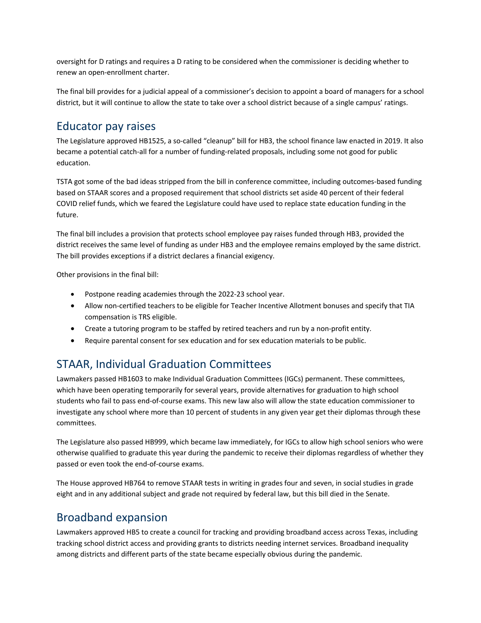oversight for D ratings and requires a D rating to be considered when the commissioner is deciding whether to renew an open-enrollment charter.

The final bill provides for a judicial appeal of a commissioner's decision to appoint a board of managers for a school district, but it will continue to allow the state to take over a school district because of a single campus' ratings.

#### Educator pay raises

The Legislature approved HB1525, a so-called "cleanup" bill for HB3, the school finance law enacted in 2019. It also became a potential catch-all for a number of funding-related proposals, including some not good for public education.

TSTA got some of the bad ideas stripped from the bill in conference committee, including outcomes-based funding based on STAAR scores and a proposed requirement that school districts set aside 40 percent of their federal COVID relief funds, which we feared the Legislature could have used to replace state education funding in the future.

The final bill includes a provision that protects school employee pay raises funded through HB3, provided the district receives the same level of funding as under HB3 and the employee remains employed by the same district. The bill provides exceptions if a district declares a financial exigency.

Other provisions in the final bill:

- Postpone reading academies through the 2022-23 school year.
- Allow non-certified teachers to be eligible for Teacher Incentive Allotment bonuses and specify that TIA compensation is TRS eligible.
- Create a tutoring program to be staffed by retired teachers and run by a non-profit entity.
- Require parental consent for sex education and for sex education materials to be public.

# STAAR, Individual Graduation Committees

Lawmakers passed HB1603 to make Individual Graduation Committees (IGCs) permanent. These committees, which have been operating temporarily for several years, provide alternatives for graduation to high school students who fail to pass end-of-course exams. This new law also will allow the state education commissioner to investigate any school where more than 10 percent of students in any given year get their diplomas through these committees.

The Legislature also passed HB999, which became law immediately, for IGCs to allow high school seniors who were otherwise qualified to graduate this year during the pandemic to receive their diplomas regardless of whether they passed or even took the end-of-course exams.

The House approved HB764 to remove STAAR tests in writing in grades four and seven, in social studies in grade eight and in any additional subject and grade not required by federal law, but this bill died in the Senate.

#### Broadband expansion

Lawmakers approved HB5 to create a council for tracking and providing broadband access across Texas, including tracking school district access and providing grants to districts needing internet services. Broadband inequality among districts and different parts of the state became especially obvious during the pandemic.